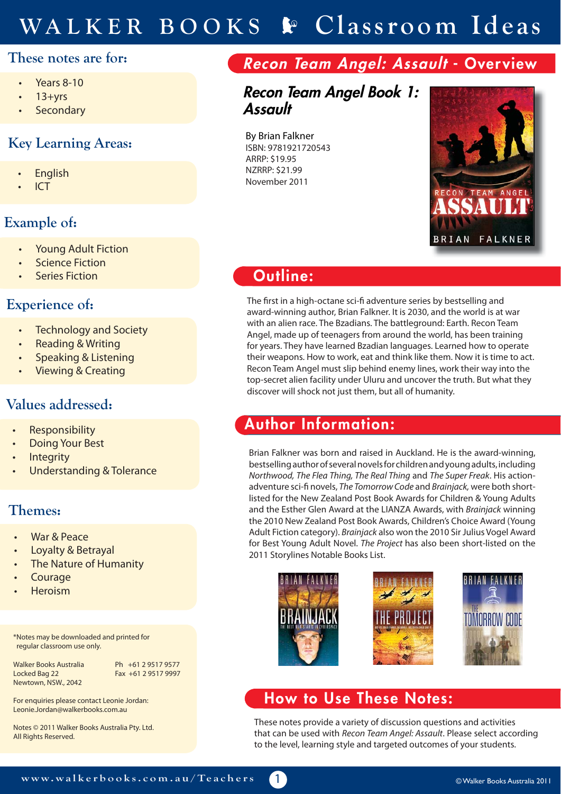# **WALKER BOOKS Classroom Ideas**

#### **These notes are for:**

- Years 8-10
- $13 + yrs$
- **Secondary**

### **Key Learning Areas:**

- **English**
- ICT

### **Example of:**

- Young Adult Fiction
- **Science Fiction**
- **Series Fiction**

#### **Experience of:**

- **Technology and Society**
- Reading & Writing
- Speaking & Listening
- Viewing & Creating

### **Values addressed:**

- **Responsibility**
- Doing Your Best
- **Integrity**
- Understanding & Tolerance

### **Themes:**

- War & Peace
- Loyalty & Betrayal
- The Nature of Humanity
- **Courage**
- Heroism

\*Notes may be downloaded and printed for regular classroom use only.

Walker Books Australia Ph +61 2 9517 9577 Locked Bag 22 Fax +61 2 9517 9997 Newtown, NSW., 2042

For enquiries please contact Leonie Jordan: Leonie.Jordan@walkerbooks.com.au

Notes © 2011 Walker Books Australia Pty. Ltd. All Rights Reserved.

## **Recon Team Angel: Assault - Overview**

### **Recon Team Angel Book 1: Assault**

By Brian Falkner ISBN: 9781921720543 ARRP: \$19.95 NZRRP: \$21.99 November 2011



### **Outline:**

The first in a high-octane sci-fi adventure series by bestselling and award-winning author, Brian Falkner. It is 2030, and the world is at war with an alien race. The Bzadians. The battleground: Earth. Recon Team Angel, made up of teenagers from around the world, has been training for years. They have learned Bzadian languages. Learned how to operate their weapons. How to work, eat and think like them. Now it is time to act. Recon Team Angel must slip behind enemy lines, work their way into the top-secret alien facility under Uluru and uncover the truth. But what they discover will shock not just them, but all of humanity.

### **Author Information:**

Brian Falkner was born and raised in Auckland. He is the award-winning, bestselling author of several novels for children and young adults, including Northwood, The Flea Thing, The Real Thing and The Super Freak. His actionadventure sci-fi novels, The Tomorrow Code and Brainjack, were both shortlisted for the New Zealand Post Book Awards for Children & Young Adults and the Esther Glen Award at the LIANZA Awards, with Brainjack winning the 2010 New Zealand Post Book Awards, Children's Choice Award (Young Adult Fiction category). Brainjack also won the 2010 Sir Julius Vogel Award for Best Young Adult Novel. The Project has also been short-listed on the 2011 Storylines Notable Books List.



### **How to Use These Notes:**

1

These notes provide a variety of discussion questions and activities that can be used with Recon Team Angel: Assault. Please select according to the level, learning style and targeted outcomes of your students.

© Walker Books Australia 2011